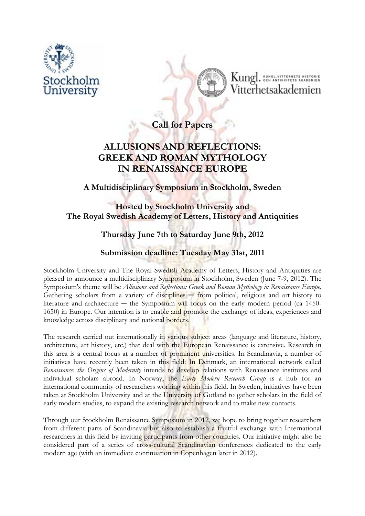



**Call for Papers** 

## **ALLUSIONS AND REFLECTIONS: GREEK AND ROMAN MYTHOLOGY IN RENAISSANCE EUROPE**

**A Multidisciplinary Symposium in Stockholm, Sweden** 

## **Hosted by Stockholm University and The Royal Swedish Academy of Letters, History and Antiquities**

## **Thursday June 7th to Saturday June 9th, 2012**

## **Submission deadline: Tuesday May 31st, 2011**

Stockholm University and The Royal Swedish Academy of Letters, History and Antiquities are pleased to announce a multidisciplinary Symposium in Stockholm, Sweden (June 7-9, 2012). The Symposium's theme will be *Allusions and Reflections: Greek and Roman Mythology in Renaissance Europe*. Gathering scholars from a variety of disciplines - from political, religious and art history to literature and architecture  $-$  the Symposium will focus on the early modern period (ca 1450-1650) in Europe. Our intention is to enable and promote the exchange of ideas, experiences and knowledge across disciplinary and national borders.

The research carried out internationally in various subject areas (language and literature, history, architecture, art history, etc.) that deal with the European Renaissance is extensive. Research in this area is a central focus at a number of prominent universities. In Scandinavia, a number of initiatives have recently been taken in this field: In Denmark, an international network called *Renaissance: the Origins of Modernity* intends to develop relations with Renaissance institutes and individual scholars abroad. In Norway, the *Early Modern Research Group* is a hub for an international community of researchers working within this field. In Sweden, initiatives have been taken at Stockholm University and at the University of Gotland to gather scholars in the field of early modern studies, to expand the existing research network and to make new contacts.

Through our Stockholm Renaissance Symposium in 2012, we hope to bring together researchers from different parts of Scandinavia but also to establish a fruitful exchange with International researchers in this field by inviting participants from other countries. Our initiative might also be considered part of a series of cross-cultural Scandinavian conferences dedicated to the early modern age (with an immediate continuation in Copenhagen later in 2012).